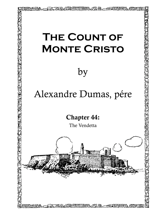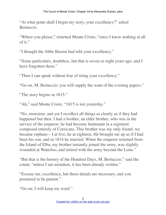"At what point shall I begin my story, your excellency?" asked Bertuccio.

"Where you please," returned Monte Cristo, "since I know nothing at all of it."

"I thought the Abbe Busoni had told your excellency."

"Some particulars, doubtless, but that is seven or eight years ago, and I have forgotten them."

"Then I can speak without fear of tiring your excellency."

"Go on, M. Bertuccio; you will supply the want of the evening papers."

"The story begins in 1815."

"Ah," said Monte Cristo, "1815 is not yesterday."

"No, monsieur, and yet I recollect all things as clearly as if they had happened but then. I had a brother, an elder brother, who was in the service of the emperor; he had become lieutenant in a regiment composed entirely of Corsicans. This brother was my only friend; we became orphans—I at five, he at eighteen. He brought me up as if I had been his son, and in 1814 he married. When the emperor returned from the Island of Elba, my brother instantly joined the army, was slightly wounded at Waterloo, and retired with the army beyond the Loire."

"But that is the history of the Hundred Days, M. Bertuccio," said the count; "unless I am mistaken, it has been already written."

"Excuse me, excellency, but these details are necessary, and you promised to be patient."

"Go on; I will keep my word."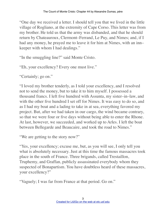"One day we received a letter. I should tell you that we lived in the little village of Rogliano, at the extremity of Cape Corso. This letter was from my brother. He told us that the army was disbanded, and that he should return by Chateauroux, Clermont–Ferrand, Le Puy, and Nimes; and, if I had any money, he prayed me to leave it for him at Nimes, with an inn– keeper with whom I had dealings."

"In the smuggling line?" said Monte Cristo.

"Eh, your excellency? Every one must live."

"Certainly; go on."

"I loved my brother tenderly, as I told your excellency, and I resolved not to send the money, but to take it to him myself. I possessed a thousand francs. I left five hundred with Assunta, my sister–in–law, and with the other five hundred I set off for Nimes. It was easy to do so, and as I had my boat and a lading to take in at sea, everything favored my project. But, after we had taken in our cargo, the wind became contrary, so that we were four or five days without being able to enter the Rhone. At last, however, we succeeded, and worked up to Arles. I left the boat between Bellegarde and Beaucaire, and took the road to Nimes."

"We are getting to the story now?"

"Yes, your excellency; excuse me, but, as you will see, I only tell you what is absolutely necessary. Just at this time the famous massacres took place in the south of France. Three brigands, called Trestaillon, Truphemy, and Graffan, publicly assassinated everybody whom they suspected of Bonapartism. You have doubtless heard of these massacres, your excellency?"

"Vaguely; I was far from France at that period. Go on."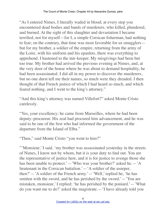"As I entered Nimes, I literally waded in blood; at every step you encountered dead bodies and bands of murderers, who killed, plundered, and burned. At the sight of this slaughter and devastation I became terrified, not for myself—for I, a simple Corsican fisherman, had nothing to fear; on the contrary, that time was most favorable for us smugglers but for my brother, a soldier of the empire, returning from the army of the Loire, with his uniform and his epaulets, there was everything to apprehend. I hastened to the inn–keeper. My misgivings had been but too true. My brother had arrived the previous evening at Nimes, and, at the very door of the house where he was about to demand hospitality, he had been assassinated. I did all in my power to discover the murderers, but no one durst tell me their names, so much were they dreaded. I then thought of that French justice of which I had heard so much, and which feared nothing, and I went to the king's attorney."

"And this king's attorney was named Villefort?" asked Monte Cristo carelessly.

"Yes, your excellency; he came from Marseilles, where he had been deputy–procureur. His zeal had procured him advancement, and he was said to be one of the first who had informed the government of the departure from the Island of Elba."

"Then," said Monte Cristo "you went to him?"

"'Monsieur,' I said, 'my brother was assassinated yesterday in the streets of Nimes, I know not by whom, but it is your duty to find out. You are the representative of justice here, and it is for justice to avenge those she has been unable to protect.'—'Who was your brother?' asked he.—'A lieutenant in the Corsican battalion.'—'A soldier of the usurper, then?'—'A soldier of the French army.'—'Well,' replied he, 'he has smitten with the sword, and he has perished by the sword.'—'You are mistaken, monsieur,' I replied; 'he has perished by the poniard.'—'What do you want me to do?' asked the magistrate.—'I have already told you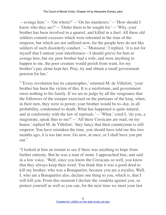—avenge him.'—'On whom?'—'On his murderers.'—'How should I know who they are?'—'Order them to be sought for.'—'Why, your brother has been involved in a quarrel, and killed in a duel. All these old soldiers commit excesses which were tolerated in the time of the emperor, but which are not suffered now, for the people here do not like soldiers of such disorderly conduct.'—'Monsieur,' I replied, 'it is not for myself that I entreat your interference—I should grieve for him or avenge him, but my poor brother had a wife, and were anything to happen to me, the poor creature would perish from want, for my brother's pay alone kept her. Pray, try and obtain a small government pension for her.'

"'Every revolution has its catastrophes,' returned M. de Villefort; 'your brother has been the victim of this. It is a misfortune, and government owes nothing to his family. If we are to judge by all the vengeance that the followers of the usurper exercised on the partisans of the king, when, in their turn, they were in power, your brother would be to–day, in all probability, condemned to death. What has happened is quite natural, and in conformity with the law of reprisals.'—'What,' cried I, 'do you, a magistrate, speak thus to me?'—'All these Corsicans are mad, on my honor,' replied M. de Villefort; 'they fancy that their countryman is still emperor. You have mistaken the time, you should have told me this two months ago, it is too late now. Go now, at once, or I shall have you put out.'

"I looked at him an instant to see if there was anything to hope from further entreaty. But he was a man of stone. I approached him, and said in a low voice, 'Well, since you know the Corsicans so well, you know that they always keep their word. You think that it was a good deed to kill my brother, who was a Bonapartist, because you are a royalist. Well, I, who am a Bonapartist also, declare one thing to you, which is, that I will kill you. From this moment I declare the vendetta against you, so protect yourself as well as you can, for the next time we meet your last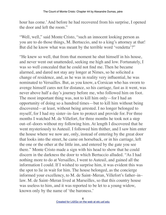hour has come.' And before he had recovered from his surprise, I opened the door and left the room."

"Well, well," said Monte Cristo, "such an innocent looking person as you are to do those things, M. Bertuccio, and to a king's attorney at that! But did he know what was meant by the terrible word 'vendetta'?"

"He knew so well, that from that moment he shut himself in his house, and never went out unattended, seeking me high and low. Fortunately, I was so well concealed that he could not find me. Then he became alarmed, and dared not stay any longer at Nimes, so he solicited a change of residence, and, as he was in reality very influential, he was nominated to Versailles. But, as you know, a Corsican who has sworn to avenge himself cares not for distance, so his carriage, fast as it went, was never above half a day's journey before me, who followed him on foot. The most important thing was, not to kill him only—for I had an opportunity of doing so a hundred times—but to kill him without being discovered—at least, without being arrested. I no longer belonged to myself, for I had my sister–in–law to protect and provide for. For three months I watched M. de Villefort, for three months he took not a step out–of–doors without my following him. At length I discovered that he went mysteriously to Auteuil. I followed him thither, and I saw him enter the house where we now are, only, instead of entering by the great door that looks into the street, he came on horseback, or in his carriage, left the one or the other at the little inn, and entered by the gate you see there." Monte Cristo made a sign with his head to show that he could discern in the darkness the door to which Bertuccio alluded. "As I had nothing more to do at Versailles, I went to Auteuil, and gained all the information I could. If I wished to surprise him, it was evident this was the spot to lie in wait for him. The house belonged, as the concierge informed your excellency, to M. de Saint–Meran, Villefort's father–in– law. M. de Saint–Meran lived at Marseilles, so that this country house was useless to him, and it was reported to be let to a young widow, known only by the name of 'the baroness.'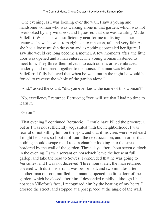"One evening, as I was looking over the wall, I saw a young and handsome woman who was walking alone in that garden, which was not overlooked by any windows, and I guessed that she was awaiting M. de Villefort. When she was sufficiently near for me to distinguish her features, I saw she was from eighteen to nineteen, tall and very fair. As she had a loose muslin dress on and as nothing concealed her figure, I saw she would ere long become a mother. A few moments after, the little door was opened and a man entered. The young woman hastened to meet him. They threw themselves into each other's arms, embraced tenderly, and returned together to the house. The man was M. de Villefort; I fully believed that when he went out in the night he would be forced to traverse the whole of the garden alone."

"And," asked the count, "did you ever know the name of this woman?"

"No, excellency," returned Bertuccio; "you will see that I had no time to learn it."

"Go on."

"That evening," continued Bertuccio, "I could have killed the procureur, but as I was not sufficiently acquainted with the neighborhood, I was fearful of not killing him on the spot, and that if his cries were overheard I might be taken; so I put it off until the next occasion, and in order that nothing should escape me, I took a chamber looking into the street bordered by the wall of the garden. Three days after, about seven o'clock in the evening, I saw a servant on horseback leave the house at full gallop, and take the road to Sevres. I concluded that he was going to Versailles, and I was not deceived. Three hours later, the man returned covered with dust, his errand was performed, and two minutes after, another man on foot, muffled in a mantle, opened the little door of the garden, which he closed after him. I descended rapidly; although I had not seen Villefort's face, I recognized him by the beating of my heart. I crossed the street, and stopped at a post placed at the angle of the wall,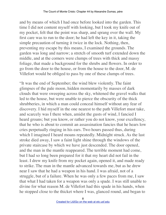and by means of which I had once before looked into the garden. This time I did not content myself with looking, but I took my knife out of my pocket, felt that the point was sharp, and sprang over the wall. My first care was to run to the door; he had left the key in it, taking the simple precaution of turning it twice in the lock. Nothing, then, preventing my escape by this means, I examined the grounds. The garden was long and narrow; a stretch of smooth turf extended down the middle, and at the corners were clumps of trees with thick and massy foliage, that made a background for the shrubs and flowers. In order to go from the door to the house, or from the house to the door, M. de Villefort would be obliged to pass by one of these clumps of trees.

"It was the end of September; the wind blew violently. The faint glimpses of the pale moon, hidden momentarily by masses of dark clouds that were sweeping across the sky, whitened the gravel walks that led to the house, but were unable to pierce the obscurity of the thick shrubberies, in which a man could conceal himself without any fear of discovery. I hid myself in the one nearest to the path Villefort must take, and scarcely was I there when, amidst the gusts of wind, I fancied I heard groans; but you know, or rather you do not know, your excellency, that he who is about to commit an assassination fancies that he hears low cries perpetually ringing in his ears. Two hours passed thus, during which I imagined I heard moans repeatedly. Midnight struck. As the last stroke died away, I saw a faint light shine through the windows of the private staircase by which we have just descended. The door opened, and the man in the mantle reappeared. The terrible moment had come, but I had so long been prepared for it that my heart did not fail in the least. I drew my knife from my pocket again, opened it, and made ready to strike. The man in the mantle advanced towards me, but as he drew near I saw that he had a weapon in his hand. I was afraid, not of a struggle, but of a failure. When he was only a few paces from me, I saw that what I had taken for a weapon was only a spade. I was still unable to divine for what reason M. de Villefort had this spade in his hands, when he stopped close to the thicket where I was, glanced round, and began to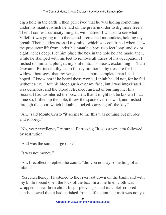dig a hole in the earth. I then perceived that he was hiding something under his mantle, which he laid on the grass in order to dig more freely. Then, I confess, curiosity mingled with hatred; I wished to see what Villefort was going to do there, and I remained motionless, holding my breath. Then an idea crossed my mind, which was confirmed when I saw the procureur lift from under his mantle a box, two feet long, and six or eight inches deep. I let him place the box in the hole he had made, then, while he stamped with his feet to remove all traces of his occupation, I rushed on him and plunged my knife into his breast, exclaiming,—'I am Giovanni Bertuccio; thy death for my brother's; thy treasure for his widow; thou seest that my vengeance is more complete than I had hoped.' I know not if he heard these words; I think he did not, for he fell without a cry. I felt his blood gush over my face, but I was intoxicated, I was delirious, and the blood refreshed, instead of burning me. In a second I had disinterred the box; then, that it might not be known I had done so, I filled up the hole, threw the spade over the wall, and rushed through the door, which I double–locked, carrying off the key."

"Ah," said Monte Cristo "it seems to me this was nothing but murder and robbery."

"No, your excellency," returned Bertuccio; "it was a vendetta followed by restitution."

"And was the sum a large one?"

"It was not money."

"Ah, I recollect," replied the count; "did you not say something of an infant?"

"Yes, excellency; I hastened to the river, sat down on the bank, and with my knife forced open the lock of the box. In a fine linen cloth was wrapped a new–born child. Its purple visage, and its violet–colored hands showed that it had perished from suffocation, but as it was not yet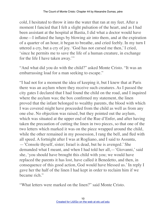cold, I hesitated to throw it into the water that ran at my feet. After a moment I fancied that I felt a slight pulsation of the heart, and as I had been assistant at the hospital at Bastia, I did what a doctor would have done—I inflated the lungs by blowing air into them, and at the expiration of a quarter of an hour, it began to breathe, and cried feebly. In my turn I uttered a cry, but a cry of joy. 'God has not cursed me then,' I cried, 'since he permits me to save the life of a human creature, in exchange for the life I have taken away.'"

"And what did you do with the child?" asked Monte Cristo. "It was an embarrassing load for a man seeking to escape."

"I had not for a moment the idea of keeping it, but I knew that at Paris there was an asylum where they receive such creatures. As I passed the city gates I declared that I had found the child on the road, and I inquired where the asylum was; the box confirmed my statement, the linen proved that the infant belonged to wealthy parents, the blood with which I was covered might have proceeded from the child as well as from any one else. No objection was raised, but they pointed out the asylum, which was situated at the upper end of the Rue d'Enfer, and after having taken the precaution of cutting the linen in two pieces, so that one of the two letters which marked it was on the piece wrapped around the child, while the other remained in my possession, I rang the bell, and fled with all speed. A fortnight after I was at Rogliano, and I said to Assunta, —'Console thyself, sister; Israel is dead, but he is avenged.' She demanded what I meant, and when I had told her all,—'Giovanni,' said she, 'you should have brought this child with you; we would have replaced the parents it has lost, have called it Benedetto, and then, in consequence of this good action, God would have blessed us.' In reply I gave her the half of the linen I had kept in order to reclaim him if we became rich."

"What letters were marked on the linen?" said Monte Cristo.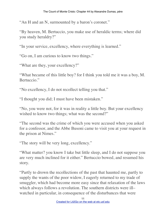"An H and an N, surmounted by a baron's coronet."

"By heaven, M. Bertuccio, you make use of heraldic terms; where did you study heraldry?"

"In your service, excellency, where everything is learned."

"Go on, I am curious to know two things."

"What are they, your excellency?"

"What became of this little boy? for I think you told me it was a boy, M. Bertuccio."

"No excellency, I do not recollect telling you that."

"I thought you did; I must have been mistaken."

"No, you were not, for it was in reality a little boy. But your excellency wished to know two things; what was the second?"

"The second was the crime of which you were accused when you asked for a confessor, and the Abbe Busoni came to visit you at your request in the prison at Nimes."

"The story will be very long, excellency."

"What matter? you know I take but little sleep, and I do not suppose you are very much inclined for it either." Bertuccio bowed, and resumed his story.

"Partly to drown the recollections of the past that haunted me, partly to supply the wants of the poor widow, I eagerly returned to my trade of smuggler, which had become more easy since that relaxation of the laws which always follows a revolution. The southern districts were ill– watched in particular, in consequence of the disturbances that were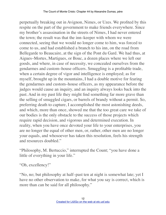perpetually breaking out in Avignon, Nimes, or Uzes. We profited by this respite on the part of the government to make friends everywhere. Since my brother's assassination in the streets of Nimes, I had never entered the town; the result was that the inn–keeper with whom we were connected, seeing that we would no longer come to him, was forced to come to us, and had established a branch to his inn, on the road from Bellegarde to Beaucaire, at the sign of the Pont du Gard. We had thus, at Aigues–Mortes, Martigues, or Bouc, a dozen places where we left our goods, and where, in case of necessity, we concealed ourselves from the gendarmes and custom–house officers. Smuggling is a profitable trade, when a certain degree of vigor and intelligence is employed; as for myself, brought up in the mountains, I had a double motive for fearing the gendarmes and custom–house officers, as my appearance before the judges would cause an inquiry, and an inquiry always looks back into the past. And in my past life they might find something far more grave than the selling of smuggled cigars, or barrels of brandy without a permit. So, preferring death to capture, I accomplished the most astonishing deeds, and which, more than once, showed me that the too great care we take of our bodies is the only obstacle to the success of those projects which require rapid decision, and vigorous and determined execution. In reality, when you have once devoted your life to your enterprises, you are no longer the equal of other men, or, rather, other men are no longer your equals, and whosoever has taken this resolution, feels his strength and resources doubled."

"Philosophy, M. Bertuccio," interrupted the Count; "you have done a little of everything in your life."

"Oh, excellency!"

"No, no; but philosophy at half–past ten at night is somewhat late; yet I have no other observation to make, for what you say is correct, which is more than can be said for all philosophy."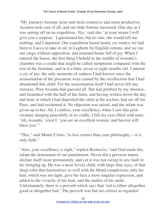"My journeys became more and more extensive and more productive. Assunta took care of all, and our little fortune increased. One day as I was setting off on an expedition, 'Go,' said she; 'at your return I will give you a surprise.' I questioned her, but in vain; she would tell me nothing, and I departed. Our expedition lasted nearly six weeks; we had been to Lucca to take in oil, to Leghorn for English cottons, and we ran our cargo without opposition, and returned home full of joy. When I entered the house, the first thing I beheld in the middle of Assunta's chamber was a cradle that might be called sumptuous compared with the rest of the furniture, and in it a baby seven or eight months old. I uttered a cry of joy; the only moments of sadness I had known since the assassination of the procureur were caused by the recollection that I had abandoned this child. For the assassination itself I had never felt any remorse. Poor Assunta had guessed all. She had profited by my absence, and furnished with the half of the linen, and having written down the day and hour at which I had deposited the child at the asylum, had set off for Paris, and had reclaimed it. No objection was raised, and the infant was given up to her. Ah, I confess, your excellency, when I saw this poor creature sleeping peacefully in its cradle, I felt my eyes filled with tears. 'Ah, Assunta,' cried I, 'you are an excellent woman, and heaven will bless you."

"This," said Monte Cristo, "is less correct than your philosophy,—it is only faith."

"Alas, your excellency is right," replied Bertuccio, "and God made this infant the instrument of our punishment. Never did a perverse nature declare itself more prematurely, and yet it was not owing to any fault in his bringing up. He was a most lovely child, with large blue eyes, of that deep color that harmonizes so well with the blond complexion; only his hair, which was too light, gave his face a most singular expression, and added to the vivacity of his look, and the malice of his smile. Unfortunately, there is a proverb which says that 'red is either altogether good or altogether bad.' The proverb was but too correct as regarded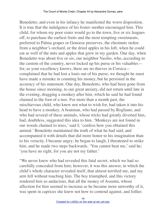Benedetto, and even in his infancy he manifested the worst disposition. It is true that the indulgence of his foster–mother encouraged him. This child, for whom my poor sister would go to the town, five or six leagues off, to purchase the earliest fruits and the most tempting sweetmeats, preferred to Palma grapes or Genoese preserves, the chestnuts stolen from a neighbor's orchard, or the dried apples in his loft, when he could eat as well of the nuts and apples that grew in my garden. One day, when Benedetto was about five or six, our neighbor Vasilio, who, according to the custom of the country, never locked up his purse or his valuables for, as your excellency knows, there are no thieves in Corsica complained that he had lost a louis out of his purse; we thought he must have made a mistake in counting his money, but he persisted in the accuracy of his statement. One day, Benedetto, who had been gone from the house since morning, to our great anxiety, did not return until late in the evening, dragging a monkey after him, which he said he had found chained to the foot of a tree. For more than a month past, the mischievous child, who knew not what to wish for, had taken it into his head to have a monkey. A boatman, who had passed by Rogliano, and who had several of these animals, whose tricks had greatly diverted him, had, doubtless, suggested this idea to him. 'Monkeys are not found in our woods chained to trees,' said I; 'confess how you obtained this animal.' Benedetto maintained the truth of what he had said, and accompanied it with details that did more honor to his imagination than to his veracity. I became angry; he began to laugh, I threatened to strike him, and he made two steps backwards. 'You cannot beat me,' said he; 'you have no right, for you are not my father.'

"We never knew who had revealed this fatal secret, which we had so carefully concealed from him; however, it was this answer, in which the child's whole character revealed itself, that almost terrified me, and my arm fell without touching him. The boy triumphed, and this victory rendered him so audacious, that all the money of Assunta, whose affection for him seemed to increase as he became more unworthy of it, was spent in caprices she knew not how to contend against, and follies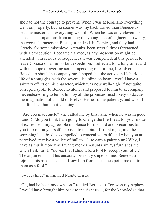she had not the courage to prevent. When I was at Rogliano everything went on properly, but no sooner was my back turned than Benedetto became master, and everything went ill. When he was only eleven, he chose his companions from among the young men of eighteen or twenty, the worst characters in Bastia, or, indeed, in Corsica, and they had already, for some mischievous pranks, been several times threatened with a prosecution. I became alarmed, as any prosecution might be attended with serious consequences. I was compelled, at this period, to leave Corsica on an important expedition; I reflected for a long time, and with the hope of averting some impending misfortune, I resolved that Benedetto should accompany me. I hoped that the active and laborious life of a smuggler, with the severe discipline on board, would have a salutary effect on his character, which was now well–nigh, if not quite, corrupt. I spoke to Benedetto alone, and proposed to him to accompany me, endeavoring to tempt him by all the promises most likely to dazzle the imagination of a child of twelve. He heard me patiently, and when I had finished, burst out laughing.

"'Are you mad, uncle?' (he called me by this name when he was in good humor); 'do you think I am going to change the life I lead for your mode of existence—my agreeable indolence for the hard and precarious toil you impose on yourself, exposed to the bitter frost at night, and the scorching heat by day, compelled to conceal yourself, and when you are perceived, receive a volley of bullets, all to earn a paltry sum? Why, I have as much money as I want; mother Assunta always furnishes me when I ask for it! You see that I should be a fool to accept your offer.' The arguments, and his audacity, perfectly stupefied me. Benedetto rejoined his associates, and I saw him from a distance point me out to them as a fool."

"Sweet child," murmured Monte Cristo.

"Oh, had he been my own son," replied Bertuccio, "or even my nephew, I would have brought him back to the right road, for the knowledge that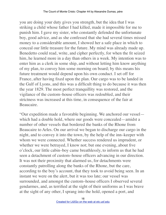you are doing your duty gives you strength, but the idea that I was striking a child whose father I had killed, made it impossible for me to punish him. I gave my sister, who constantly defended the unfortunate boy, good advice, and as she confessed that she had several times missed money to a considerable amount, I showed her a safe place in which to conceal our little treasure for the future. My mind was already made up. Benedetto could read, write, and cipher perfectly, for when the fit seized him, he learned more in a day than others in a week. My intention was to enter him as a clerk in some ship, and without letting him know anything of my plan, to convey him some morning on board; by this means his future treatment would depend upon his own conduct. I set off for France, after having fixed upon the plan. Our cargo was to be landed in the Gulf of Lyons, and this was a difficult thing to do because it was then the year 1829. The most perfect tranquillity was restored, and the vigilance of the custom–house officers was redoubled, and their strictness was increased at this time, in consequence of the fair at Beaucaire.

"Our expedition made a favorable beginning. We anchored our vessel which had a double hold, where our goods were concealed—amidst a number of other vessels that bordered the banks of the Rhone from Beaucaire to Arles. On our arrival we began to discharge our cargo in the night, and to convey it into the town, by the help of the inn–keeper with whom we were connected. Whether success rendered us imprudent, or whether we were betrayed, I know not; but one evening, about five o'clock, our little cabin–boy came breathlessly, to inform us that he had seen a detachment of custom–house officers advancing in our direction. It was not their proximity that alarmed us, for detachments were constantly patrolling along the banks of the Rhone, but the care, according to the boy's account, that they took to avoid being seen. In an instant we were on the alert, but it was too late; our vessel was surrounded, and amongst the custom–house officers I observed several gendarmes, and, as terrified at the sight of their uniforms as I was brave at the sight of any other, I sprang into the hold, opened a port, and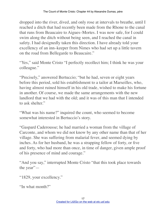dropped into the river, dived, and only rose at intervals to breathe, until I reached a ditch that had recently been made from the Rhone to the canal that runs from Beaucaire to Aigues–Mortes. I was now safe, for I could swim along the ditch without being seen, and I reached the canal in safety. I had designedly taken this direction. I have already told your excellency of an inn–keeper from Nimes who had set up a little tavern on the road from Bellegarde to Beaucaire."

"Yes," said Monte Cristo "I perfectly recollect him; I think he was your colleague."

"Precisely," answered Bertuccio; "but he had, seven or eight years before this period, sold his establishment to a tailor at Marseilles, who, having almost ruined himself in his old trade, wished to make his fortune in another. Of course, we made the same arrangements with the new landlord that we had with the old; and it was of this man that I intended to ask shelter."

"What was his name?" inquired the count, who seemed to become somewhat interested in Bertuccio's story.

"Gaspard Caderousse; he had married a woman from the village of Carconte, and whom we did not know by any other name than that of her village. She was suffering from malarial fever, and seemed dying by inches. As for her husband, he was a strapping fellow of forty, or five and forty, who had more than once, in time of danger, given ample proof of his presence of mind and courage."

"And you say," interrupted Monte Cristo "that this took place towards the year"—

```
"1829, your excellency."
```
"In what month?"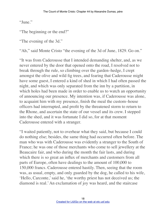"June."

"The beginning or the end?"

"The evening of the 3d."

"Ah," said Monte Cristo "the evening of the 3d of June, 1829. Go on."

"It was from Caderousse that I intended demanding shelter, and, as we never entered by the door that opened onto the road, I resolved not to break through the rule, so climbing over the garden–hedge, I crept amongst the olive and wild fig trees, and fearing that Caderousse might have some guest, I entered a kind of shed in which I had often passed the night, and which was only separated from the inn by a partition, in which holes had been made in order to enable us to watch an opportunity of announcing our presence. My intention was, if Caderousse was alone, to acquaint him with my presence, finish the meal the custom–house officers had interrupted, and profit by the threatened storm to return to the Rhone, and ascertain the state of our vessel and its crew. I stepped into the shed, and it was fortunate I did so, for at that moment Caderousse entered with a stranger.

"I waited patiently, not to overhear what they said, but because I could do nothing else; besides, the same thing had occurred often before. The man who was with Caderousse was evidently a stranger to the South of France; he was one of those merchants who come to sell jewellery at the Beaucaire fair, and who during the month the fair lasts, and during which there is so great an influx of merchants and customers from all parts of Europe, often have dealings to the amount of 100,000 to 150,000 francs. Caderousse entered hastily. Then, seeing that the room was, as usual, empty, and only guarded by the dog, he called to his wife, 'Hello, Carconte,' said he, 'the worthy priest has not deceived us; the diamond is real.' An exclamation of joy was heard, and the staircase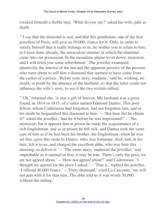creaked beneath a feeble step. 'What do you say?' asked his wife, pale as death.

"'I say that the diamond is real, and that this gentleman, one of the first jewellers of Paris, will give us 50,000. francs for it. Only, in order to satisfy himself that it really belongs to us, he wishes you to relate to him, as I have done already, the miraculous manner in which the diamond came into our possession. In the meantime please to sit down, monsieur, and I will fetch you some refreshment.' The jeweller examined attentively the interior of the inn and the apparent poverty of the persons who were about to sell him a diamond that seemed to have come from the casket of a prince. 'Relate your story, madame,' said he, wishing, no doubt, to profit by the absence of the husband, so that the latter could not influence the wife's story, to see if the two recitals tallied.

"'Oh,' returned she, 'it was a gift of heaven. My husband was a great friend, in 1814 or 1815, of a sailor named Edmond Dantes. This poor fellow, whom Caderousse had forgotten, had not forgotten him, and at his death he bequeathed this diamond to him.'—'But how did he obtain it?' asked the jeweller; 'had he it before he was imprisoned?'—'No, monsieur; but it appears that in prison he made the acquaintance of a rich Englishman, and as in prison he fell sick, and Dantes took the same care of him as if he had been his brother, the Englishman, when he was set free, gave this stone to Dantes, who, less fortunate, died, and, in his turn, left it to us, and charged the excellent abbe, who was here this morning, to deliver it.'—'The same story,' muttered the jeweller; 'and improbable as it seemed at first, it may be true. There's only the price we are not agreed about.'—'How not agreed about?' said Caderousse. 'I thought we agreed for the price I asked.'—'That is,' replied the jeweller, 'I offered 40,000 francs.'—'Forty thousand,' cried La Carconte; 'we will not part with it for that sum. The abbe told us it was worth 50,000. without the setting.'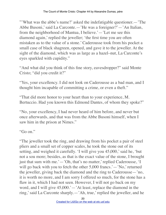"'What was the abbe's name?' asked the indefatigable questioner.—'The Abbe Busoni,' said La Carconte.—'He was a foreigner?'—'An Italian, from the neighborhood of Mantua, I believe.'—'Let me see this diamond again,' replied the jeweller; 'the first time you are often mistaken as to the value of a stone.' Caderousse took from his pocket a small case of black shagreen, opened, and gave it to the jeweller. At the sight of the diamond, which was as large as a hazel–nut, La Carconte's eyes sparkled with cupidity."

"And what did you think of this fine story, eavesdropper?" said Monte Cristo; "did you credit it?"

"Yes, your excellency. I did not look on Caderousse as a bad man, and I thought him incapable of committing a crime, or even a theft."

"That did more honor to your heart than to your experience, M. Bertuccio. Had you known this Edmond Dantes, of whom they spoke?"

"No, your excellency, I had never heard of him before, and never but once afterwards, and that was from the Abbe Busoni himself, when I saw him in the prison at Nimes."

"Go on."

"The jeweller took the ring, and drawing from his pocket a pair of steel pliers and a small set of copper scales, he took the stone out of its setting, and weighed it carefully. 'I will give you 45,000,' said he, 'but not a sou more; besides, as that is the exact value of the stone, I brought just that sum with me.'—'Oh, that's no matter,' replied Caderousse, 'I will go back with you to fetch the other 5,000 francs.'—'No,' returned the jeweller, giving back the diamond and the ring to Caderousse—'no, it is worth no more, and I am sorry I offered so much, for the stone has a flaw in it, which I had not seen. However, I will not go back on my word, and I will give 45,000.'—'At least, replace the diamond in the ring,' said La Carconte sharply.—'Ah, true,' replied the jeweller, and he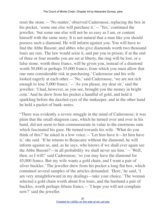reset the stone.—'No matter,' observed Caderousse, replacing the box in his pocket, 'some one else will purchase it.'—'Yes,' continued the jeweller; 'but some one else will not be so easy as I am, or content himself with the same story. It is not natural that a man like you should possess such a diamond. He will inform against you. You will have to find the Abbe Busoni; and abbes who give diamonds worth two thousand louis are rare. The law would seize it, and put you in prison; if at the end of three or four months you are set at liberty, the ring will be lost, or a false stone, worth three francs, will be given you, instead of a diamond worth 50,000 or perhaps 55,000 francs; from which you must allow that one runs considerable risk in purchasing.' Caderousse and his wife looked eagerly at each other.— 'No,' said Caderousse, 'we are not rich enough to lose 5,000 francs.'—'As you please, my dear sir,' said the jeweller; 'I had, however, as you see, brought you the money in bright coin.' And he drew from his pocket a handful of gold, and held it sparkling before the dazzled eyes of the innkeeper, and in the other hand he held a packet of bank–notes.

"There was evidently a severe struggle in the mind of Caderousse; it was plain that the small shagreen case, which he turned over and over in his hand, did not seem to him commensurate in value to the enormous sum which fascinated his gaze. He turned towards his wife. 'What do you think of this?' he asked in a low voice.—'Let him have it—let him have it,' she said. 'If he returns to Beaucaire without the diamond, he will inform against us, and, as he says, who knows if we shall ever again see the Abbe Busoni?—in all probability we shall never see him.'—'Well, then, so I will!' said Caderousse; 'so you may have the diamond for 45,000 francs. But my wife wants a gold chain, and I want a pair of silver buckles.' The jeweller drew from his pocket a long flat box, which contained several samples of the articles demanded. 'Here,' he said, 'I am very straightforward in my dealings—take your choice.' The woman selected a gold chain worth about five louis, and the husband a pair of buckles, worth perhaps fifteen francs.—'I hope you will not complain now?' said the jeweller.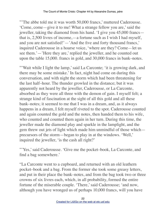"'The abbe told me it was worth 50,000 francs,' muttered Caderousse. 'Come, come—give it to me! What a strange fellow you are,' said the jeweller, taking the diamond from his hand. 'I give you 45,000 francs that is, 2,500 livres of income,—a fortune such as I wish I had myself, and you are not satisfied!'—'And the five and forty thousand francs,' inquired Caderousse in a hoarse voice, 'where are they? Come—let us see them.'—'Here they are,' replied the jeweller, and he counted out upon the table 15,000. francs in gold, and 30,000 francs in bank–notes.

"'Wait while I light the lamp,' said La Carconte; 'it is growing dark, and there may be some mistake.' In fact, night had come on during this conversation, and with night the storm which had been threatening for the last half–hour. The thunder growled in the distance; but it was apparently not heard by the jeweller, Caderousse, or La Carconte, absorbed as they were all three with the demon of gain. I myself felt; a strange kind of fascination at the sight of all this gold and all these bank–notes; it seemed to me that I was in a dream, and, as it always happens in a dream, I felt myself riveted to the spot. Caderousse counted and again counted the gold and the notes, then handed them to his wife, who counted and counted them again in her turn. During this time, the jeweller made the diamond play and sparkle in the lamplight, and the gem threw out jets of light which made him unmindful of those which precursors of the storm—began to play in at the windows. 'Well,' inquired the jeweller, 'is the cash all right?'

"'Yes,' said Caderousse. 'Give me the pocket–book, La Carconte, and find a bag somewhere.'

"La Carconte went to a cupboard, and returned with an old leathern pocket–book and a bag. From the former she took some greasy letters, and put in their place the bank–notes, and from the bag took two or three crowns of six livres each, which, in all probability, formed the entire fortune of the miserable couple. 'There,' said Caderousse; 'and now, although you have wronged us of perhaps 10,000 francs, will you have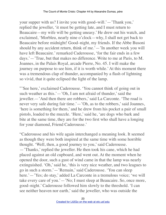your supper with us? I invite you with good–will.'—'Thank you,' replied the jeweller, 'it must be getting late, and I must return to Beaucaire—my wife will be getting uneasy.' He drew out his watch, and exclaimed, 'Morbleu, nearly nine o'clock—why, I shall not get back to Beaucaire before midnight! Good–night, my friends. If the Abbe Busoni should by any accident return, think of me.'—'In another week you will have left Beaucaire.' remarked Caderousse, 'for the fair ends in a few days.'—'True, but that makes no difference. Write to me at Paris, to M. Joannes, in the Palais Royal, arcade Pierre, No. 45. I will make the journey on purpose to see him, if it is worth while.' At this moment there was a tremendous clap of thunder, accompanied by a flash of lightning so vivid, that it quite eclipsed the light of the lamp.

"'See here,' exclaimed Caderousse. 'You cannot think of going out in such weather as this.'—'Oh, I am not afraid of thunder,' said the jeweller.—'And then there are robbers,' said La Carconte. 'The road is never very safe during fair time.'—'Oh, as to the robbers,' said Joannes, 'here is something for them,' and he drew from his pocket a pair of small pistols, loaded to the muzzle. 'Here,' said he, 'are dogs who bark and bite at the same time, they are for the two first who shall have a longing for your diamond, Friend Caderousse.'

"Caderousse and his wife again interchanged a meaning look. It seemed as though they were both inspired at the same time with some horrible thought. 'Well, then, a good journey to you,' said Caderousse. —'Thanks,' replied the jeweller. He then took his cane, which he had placed against an old cupboard, and went out. At the moment when he opened the door, such a gust of wind came in that the lamp was nearly extinguished. 'Oh,' said he, 'this is very nice weather, and two leagues to go in such a storm.'—'Remain,' said Caderousse. 'You can sleep here.'—'Yes; do stay,' added La Carconte in a tremulous voice; 'we will take every care of you.'—'No; I must sleep at Beaucaire. So, once more, good–night.' Caderousse followed him slowly to the threshold. 'I can see neither heaven nor earth,' said the jeweller, who was outside the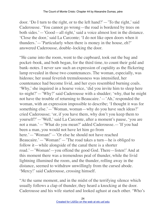door. 'Do I turn to the right, or to the left hand?'—'To the right,' said Caderousse. 'You cannot go wrong—the road is bordered by trees on both sides.'—'Good—all right,' said a voice almost lost in the distance. 'Close the door,' said La Carconte; 'I do not like open doors when it thunders.'—'Particularly when there is money in the house, eh?' answered Caderousse, double–locking the door.

"He came into the room, went to the cupboard, took out the bag and pocket–book, and both began, for the third time, to count their gold and bank–notes. I never saw such an expression of cupidity as the flickering lamp revealed in those two countenances. The woman, especially, was hideous; her usual feverish tremulousness was intensified, her countenance had become livid, and her eyes resembled burning coals. 'Why,' she inquired in a hoarse voice, 'did you invite him to sleep here to–night?'—'Why?' said Caderousse with a shudder; 'why, that he might not have the trouble of returning to Beaucaire.'—'Ah,' responded the woman, with an expression impossible to describe; 'I thought it was for something else.'—'Woman, woman—why do you have such ideas?' cried Caderousse; 'or, if you have them, why don't you keep them to yourself?'—'Well,' said La Carconte, after a moment's pause, 'you are not a man.'—'What do you mean?' added Caderousse.—'If you had been a man, you would not have let him go from here.'—'Woman!'—'Or else he should not have reached Beaucaire.'—'Woman!'—'The road takes a turn—he is obliged to follow it—while alongside of the canal there is a shorter road.'—'Woman!—you offend the good God. There—listen!' And at this moment there was a tremendous peal of thunder, while the livid lightning illumined the room, and the thunder, rolling away in the distance, seemed to withdraw unwillingly from the cursed abode. 'Mercy!' said Caderousse, crossing himself.

"At the same moment, and in the midst of the terrifying silence which usually follows a clap of thunder, they heard a knocking at the door. Caderousse and his wife started and looked aghast at each other. 'Who's